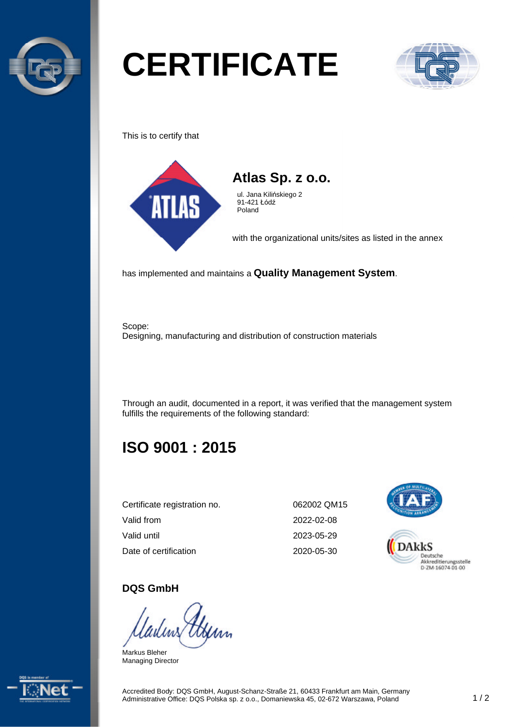

# **CERTIFICATE**



This is to certify that





ul. Jana Kilińskiego 2 91-421 Łódź Poland

with the organizational units/sites as listed in the annex

has implemented and maintains a **Quality Management System**.

Scope: Designing, manufacturing and distribution of construction materials

Through an audit, documented in a report, it was verified that the management system fulfills the requirements of the following standard:

# **ISO 9001 : 2015**

| Certificate registration no. |  |
|------------------------------|--|
| Valid from                   |  |
| Valid until                  |  |
| Date of certification        |  |

062002 QM15 2022-02-08 2023-05-29 2020-05-30



#### **DQS GmbH**

Markus Bleher Managing Director